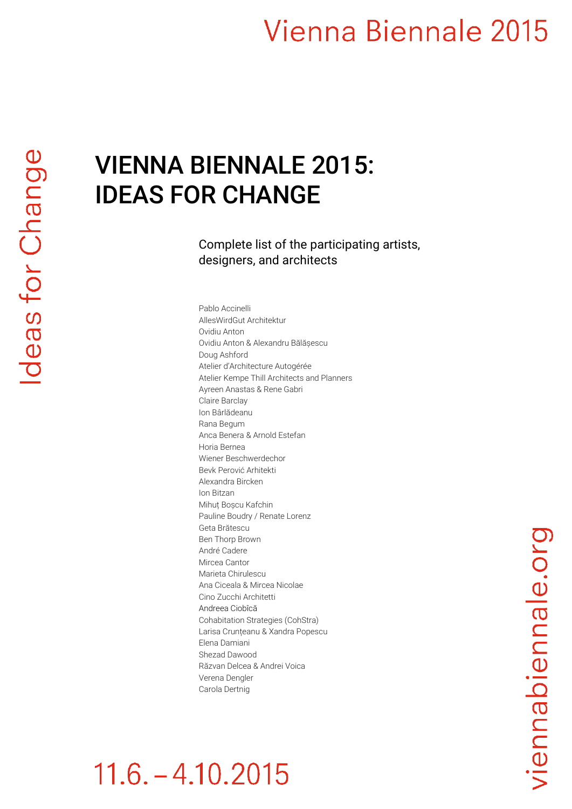### Vienna Biennale 2015

#### VIENNA BIENNALE 2015: IDEAS FOR CHANGE

Complete list of the participating artists, designers, and architects

Pablo Accinelli AllesWirdGut Architektur Ovidiu Anton Ovidiu Anton & Alexandru Bălășescu Doug Ashford Atelier d'Architecture Autogérée Atelier Kempe Thill Architects and Planners Ayreen Anastas & Rene Gabri Claire Barclay Ion Bârlădeanu Rana Begum Anca Benera & Arnold Estefan Horia Bernea Wiener Beschwerdechor Bevk Perović Arhitekti Alexandra Bircken Ion Bitzan Mihuț Boșcu Kafchin Pauline Boudry / Renate Lorenz Geta Brătescu Ben Thorp Brown André Cadere Mircea Cantor Marieta Chirulescu Ana Ciceala & Mircea Nicolae Cino Zucchi Architetti Andreea Ciobîcă Cohabitation Strategies (CohStra) Larisa Crunțeanu & Xandra Popescu Elena Damiani Shezad Dawood Răzvan Delcea & Andrei Voica Verena Dengler Carola Dertnig

### $11.6 - 4.10.2015$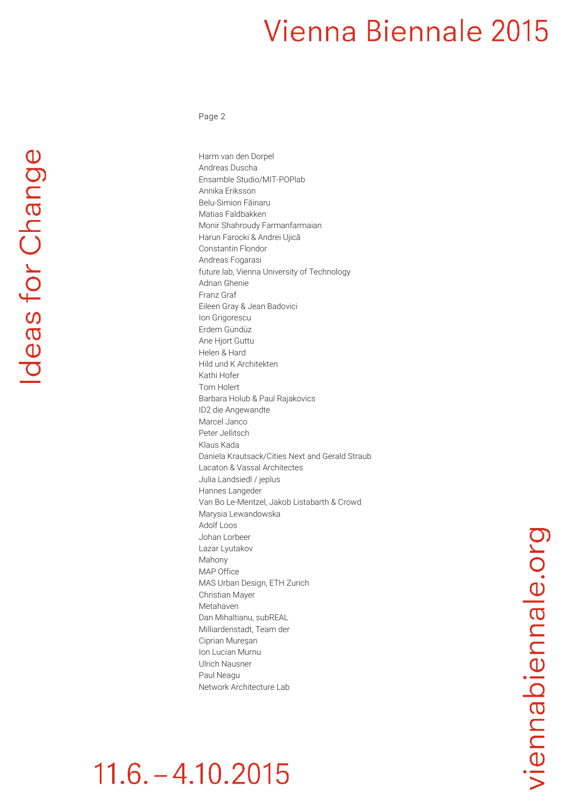### Vienna Biennale 2015

Page 2

deas for Change

Harm van den Dorpel Andreas Duscha Ensamble Studio/MIT-POPlab Annika Eriksson Belu-Simion Făinaru Matias Faldbakken Monir Shahroudy Farmanfarmaian Harun Farocki & Andrei Ujică Constantin Flondor Andreas Fogarasi future.lab, Vienna University of Technology Adrian Ghenie Franz Graf Eileen Gray & Jean Badovici Ion Grigorescu Erdem Gündüz Ane Hjort Guttu Helen & Hard Hild und K Architekten Kathi Hofer Tom Holert Barbara Holub & Paul Rajakovics ID2 die Angewandte Marcel Janco Peter Jellitsch Klaus Kada Daniela Krautsack/Cities Next and Gerald Straub Lacaton & Vassal Architectes Julia Landsiedl / jeplus Hannes Langeder Van Bo Le-Mentzel, Jakob Listabarth & Crowd Marysia Lewandowska Adolf Loos Johan Lorbeer Lazar Lyutakov Mahony MAP Office MAS Urban Design, ETH Zurich Christian Mayer Metahaven Dan Mihaltianu, subREAL Milliardenstadt, Team der Ciprian Mureşan Ion Lucian Murnu Ulrich Nausner Paul Neagu Network Architecture Lab

## $11.6 - 4.10.2015$